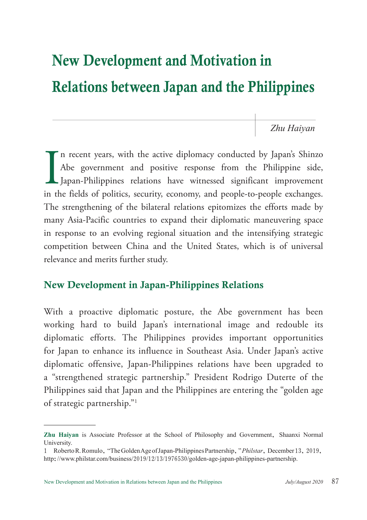# New Development and Motivation in Relations between Japan and the Philippines

*Zhu Haiyan*

 $\prod_{\text{in the }i}$ n recent years, with the active diplomacy conducted by Japan's Shinzo Abe government and positive response from the Philippine side, Japan-Philippines relations have witnessed significant improvement in the fields of politics, security, economy, and people-to-people exchanges. The strengthening of the bilateral relations epitomizes the efforts made by many Asia-Pacific countries to expand their diplomatic maneuvering space in response to an evolving regional situation and the intensifying strategic competition between China and the United States, which is of universal relevance and merits further study.

## New Development in Japan-Philippines Relations

With a proactive diplomatic posture, the Abe government has been working hard to build Japan's international image and redouble its diplomatic efforts. The Philippines provides important opportunities for Japan to enhance its influence in Southeast Asia. Under Japan's active diplomatic offensive, Japan-Philippines relations have been upgraded to a "strengthened strategic partnership." President Rodrigo Duterte of the Philippines said that Japan and the Philippines are entering the "golden age of strategic partnership."1

**Zhu Haiyan** is Associate Professor at the School of Philosophy and Government, Shaanxi Normal University.

<sup>1</sup> Roberto R. Romulo, "The Golden Age of Japan-Philippines Partnership," *Philstar*, December 13, 2019, http://www.philstar.com/business/2019/12/13/1976530/golden-age-japan-philippines-partnership.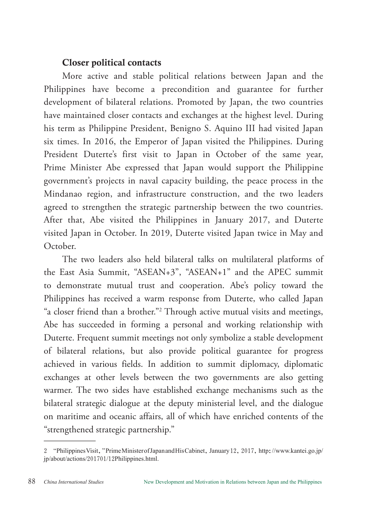## Closer political contacts

More active and stable political relations between Japan and the Philippines have become a precondition and guarantee for further development of bilateral relations. Promoted by Japan, the two countries have maintained closer contacts and exchanges at the highest level. During his term as Philippine President, Benigno S. Aquino III had visited Japan six times. In 2016, the Emperor of Japan visited the Philippines. During President Duterte's first visit to Japan in October of the same year, Prime Minister Abe expressed that Japan would support the Philippine government's projects in naval capacity building, the peace process in the Mindanao region, and infrastructure construction, and the two leaders agreed to strengthen the strategic partnership between the two countries. After that, Abe visited the Philippines in January 2017, and Duterte visited Japan in October. In 2019, Duterte visited Japan twice in May and October.

The two leaders also held bilateral talks on multilateral platforms of the East Asia Summit, "ASEAN+3", "ASEAN+1" and the APEC summit to demonstrate mutual trust and cooperation. Abe's policy toward the Philippines has received a warm response from Duterte, who called Japan "a closer friend than a brother."2 Through active mutual visits and meetings, Abe has succeeded in forming a personal and working relationship with Duterte. Frequent summit meetings not only symbolize a stable development of bilateral relations, but also provide political guarantee for progress achieved in various fields. In addition to summit diplomacy, diplomatic exchanges at other levels between the two governments are also getting warmer. The two sides have established exchange mechanisms such as the bilateral strategic dialogue at the deputy ministerial level, and the dialogue on maritime and oceanic affairs, all of which have enriched contents of the "strengthened strategic partnership."

<sup>2</sup> "Philippines Visit," Prime Minister of Japan and His Cabinet, January 12, 2017, http://www.kantei.go.jp/ jp/about/actions/201701/12Philippines.html.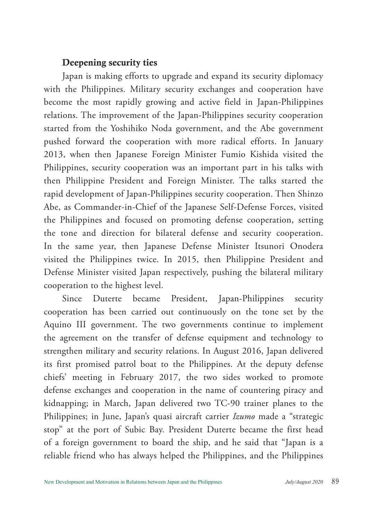## Deepening security ties

Japan is making efforts to upgrade and expand its security diplomacy with the Philippines. Military security exchanges and cooperation have become the most rapidly growing and active field in Japan-Philippines relations. The improvement of the Japan-Philippines security cooperation started from the Yoshihiko Noda government, and the Abe government pushed forward the cooperation with more radical efforts. In January 2013, when then Japanese Foreign Minister Fumio Kishida visited the Philippines, security cooperation was an important part in his talks with then Philippine President and Foreign Minister. The talks started the rapid development of Japan-Philippines security cooperation. Then Shinzo Abe, as Commander-in-Chief of the Japanese Self-Defense Forces, visited the Philippines and focused on promoting defense cooperation, setting the tone and direction for bilateral defense and security cooperation. In the same year, then Japanese Defense Minister Itsunori Onodera visited the Philippines twice. In 2015, then Philippine President and Defense Minister visited Japan respectively, pushing the bilateral military cooperation to the highest level.

Since Duterte became President, Japan-Philippines security cooperation has been carried out continuously on the tone set by the Aquino III government. The two governments continue to implement the agreement on the transfer of defense equipment and technology to strengthen military and security relations. In August 2016, Japan delivered its first promised patrol boat to the Philippines. At the deputy defense chiefs' meeting in February 2017, the two sides worked to promote defense exchanges and cooperation in the name of countering piracy and kidnapping; in March, Japan delivered two TC-90 trainer planes to the Philippines; in June, Japan's quasi aircraft carrier *Izumo* made a "strategic stop" at the port of Subic Bay. President Duterte became the first head of a foreign government to board the ship, and he said that "Japan is a reliable friend who has always helped the Philippines, and the Philippines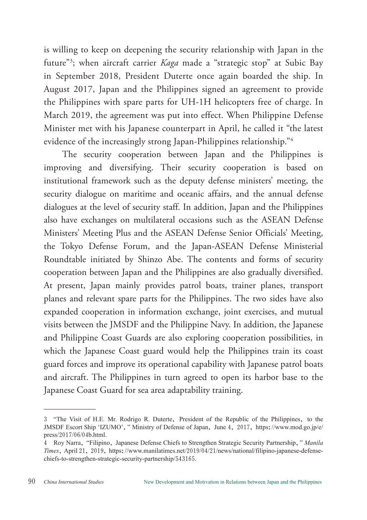is willing to keep on deepening the security relationship with Japan in the future"3 ; when aircraft carrier *Kaga* made a "strategic stop" at Subic Bay in September 2018, President Duterte once again boarded the ship. In August 2017, Japan and the Philippines signed an agreement to provide the Philippines with spare parts for UH-1H helicopters free of charge. In March 2019, the agreement was put into effect. When Philippine Defense Minister met with his Japanese counterpart in April, he called it "the latest evidence of the increasingly strong Japan-Philippines relationship."4

The security cooperation between Japan and the Philippines is improving and diversifying. Their security cooperation is based on institutional framework such as the deputy defense ministers' meeting, the security dialogue on maritime and oceanic affairs, and the annual defense dialogues at the level of security staff. In addition, Japan and the Philippines also have exchanges on multilateral occasions such as the ASEAN Defense Ministers' Meeting Plus and the ASEAN Defense Senior Officials' Meeting, the Tokyo Defense Forum, and the Japan-ASEAN Defense Ministerial Roundtable initiated by Shinzo Abe. The contents and forms of security cooperation between Japan and the Philippines are also gradually diversified. At present, Japan mainly provides patrol boats, trainer planes, transport planes and relevant spare parts for the Philippines. The two sides have also expanded cooperation in information exchange, joint exercises, and mutual visits between the JMSDF and the Philippine Navy. In addition, the Japanese and Philippine Coast Guards are also exploring cooperation possibilities, in which the Japanese Coast guard would help the Philippines train its coast guard forces and improve its operational capability with Japanese patrol boats and aircraft. The Philippines in turn agreed to open its harbor base to the Japanese Coast Guard for sea area adaptability training.

<sup>3</sup> "The Visit of H.E. Mr. Rodrigo R. Duterte, President of the Republic of the Philippines, to the JMSDF Escort Ship 'IZUMO'," Ministry of Defense of Japan, June 4, 2017, https://www.mod.go.jp/e/ press/2017/06/04b.html.

<sup>4</sup> Roy Narra, "Filipino, Japanese Defense Chiefs to Strengthen Strategic Security Partnership," *Manila Times*, April 21, 2019, https://www.manilatimes.net/2019/04/21/news/national/filipino-japanese-defensechiefs-to-strengthen-strategic-security-partnership/543165.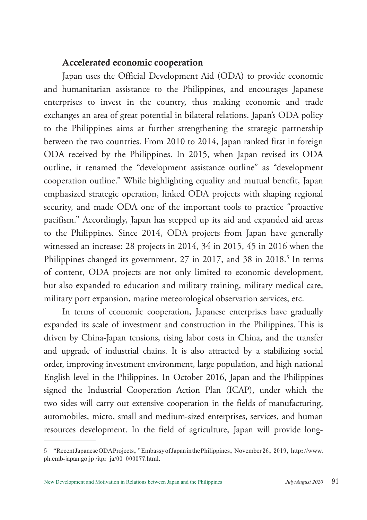#### Accelerated economic cooperation

Japan uses the Official Development Aid (ODA) to provide economic and humanitarian assistance to the Philippines, and encourages Japanese enterprises to invest in the country, thus making economic and trade exchanges an area of great potential in bilateral relations. Japan's ODA policy to the Philippines aims at further strengthening the strategic partnership between the two countries. From 2010 to 2014, Japan ranked first in foreign ODA received by the Philippines. In 2015, when Japan revised its ODA outline, it renamed the "development assistance outline" as "development cooperation outline." While highlighting equality and mutual benefit, Japan emphasized strategic operation, linked ODA projects with shaping regional security, and made ODA one of the important tools to practice "proactive pacifism." Accordingly, Japan has stepped up its aid and expanded aid areas to the Philippines. Since 2014, ODA projects from Japan have generally witnessed an increase: 28 projects in 2014, 34 in 2015, 45 in 2016 when the Philippines changed its government, 27 in 2017, and 38 in 2018.<sup>5</sup> In terms of content, ODA projects are not only limited to economic development, but also expanded to education and military training, military medical care, military port expansion, marine meteorological observation services, etc.

In terms of economic cooperation, Japanese enterprises have gradually expanded its scale of investment and construction in the Philippines. This is driven by China-Japan tensions, rising labor costs in China, and the transfer and upgrade of industrial chains. It is also attracted by a stabilizing social order, improving investment environment, large population, and high national English level in the Philippines. In October 2016, Japan and the Philippines signed the Industrial Cooperation Action Plan (ICAP), under which the two sides will carry out extensive cooperation in the fields of manufacturing, automobiles, micro, small and medium-sized enterprises, services, and human resources development. In the field of agriculture, Japan will provide long-

<sup>5</sup> "Recent Japanese ODA Projects," Embassy of Japan in the Philippines, November 26, 2019, http://www. ph.emb-japan.go.jp /itpr\_ja/00\_000077.html.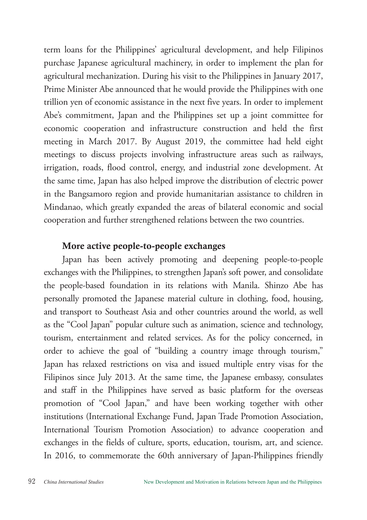term loans for the Philippines' agricultural development, and help Filipinos purchase Japanese agricultural machinery, in order to implement the plan for agricultural mechanization. During his visit to the Philippines in January 2017, Prime Minister Abe announced that he would provide the Philippines with one trillion yen of economic assistance in the next five years. In order to implement Abe's commitment, Japan and the Philippines set up a joint committee for economic cooperation and infrastructure construction and held the first meeting in March 2017. By August 2019, the committee had held eight meetings to discuss projects involving infrastructure areas such as railways, irrigation, roads, flood control, energy, and industrial zone development. At the same time, Japan has also helped improve the distribution of electric power in the Bangsamoro region and provide humanitarian assistance to children in Mindanao, which greatly expanded the areas of bilateral economic and social cooperation and further strengthened relations between the two countries.

## More active people-to-people exchanges

Japan has been actively promoting and deepening people-to-people exchanges with the Philippines, to strengthen Japan's soft power, and consolidate the people-based foundation in its relations with Manila. Shinzo Abe has personally promoted the Japanese material culture in clothing, food, housing, and transport to Southeast Asia and other countries around the world, as well as the "Cool Japan" popular culture such as animation, science and technology, tourism, entertainment and related services. As for the policy concerned, in order to achieve the goal of "building a country image through tourism," Japan has relaxed restrictions on visa and issued multiple entry visas for the Filipinos since July 2013. At the same time, the Japanese embassy, consulates and staff in the Philippines have served as basic platform for the overseas promotion of "Cool Japan," and have been working together with other institutions (International Exchange Fund, Japan Trade Promotion Association, International Tourism Promotion Association) to advance cooperation and exchanges in the fields of culture, sports, education, tourism, art, and science. In 2016, to commemorate the 60th anniversary of Japan-Philippines friendly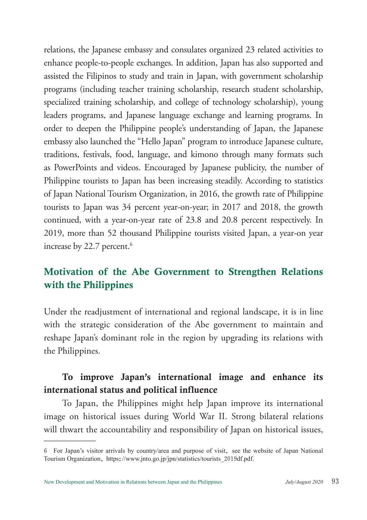relations, the Japanese embassy and consulates organized 23 related activities to enhance people-to-people exchanges. In addition, Japan has also supported and assisted the Filipinos to study and train in Japan, with government scholarship programs (including teacher training scholarship, research student scholarship, specialized training scholarship, and college of technology scholarship), young leaders programs, and Japanese language exchange and learning programs. In order to deepen the Philippine people's understanding of Japan, the Japanese embassy also launched the "Hello Japan" program to introduce Japanese culture, traditions, festivals, food, language, and kimono through many formats such as PowerPoints and videos. Encouraged by Japanese publicity, the number of Philippine tourists to Japan has been increasing steadily. According to statistics of Japan National Tourism Organization, in 2016, the growth rate of Philippine tourists to Japan was 34 percent year-on-year; in 2017 and 2018, the growth continued, with a year-on-year rate of 23.8 and 20.8 percent respectively. In 2019, more than 52 thousand Philippine tourists visited Japan, a year-on year increase by 22.7 percent.<sup>6</sup>

# Motivation of the Abe Government to Strengthen Relations with the Philippines

Under the readjustment of international and regional landscape, it is in line with the strategic consideration of the Abe government to maintain and reshape Japan's dominant role in the region by upgrading its relations with the Philippines.

## To improve Japan's international image and enhance its international status and political influence

To Japan, the Philippines might help Japan improve its international image on historical issues during World War II. Strong bilateral relations will thwart the accountability and responsibility of Japan on historical issues,

<sup>6</sup> For Japan's visitor arrivals by country/area and purpose of visit, see the website of Japan National Tourism Organization, https://www.jnto.go.jp/jpn/statistics/tourists\_2019df.pdf.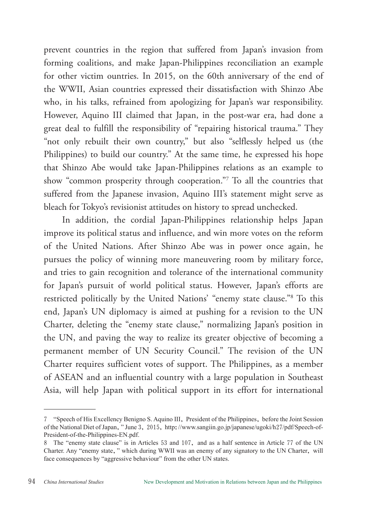prevent countries in the region that suffered from Japan's invasion from forming coalitions, and make Japan-Philippines reconciliation an example for other victim ountries. In 2015, on the 60th anniversary of the end of the WWII, Asian countries expressed their dissatisfaction with Shinzo Abe who, in his talks, refrained from apologizing for Japan's war responsibility. However, Aquino III claimed that Japan, in the post-war era, had done a great deal to fulfill the responsibility of "repairing historical trauma." They "not only rebuilt their own country," but also "selflessly helped us (the Philippines) to build our country." At the same time, he expressed his hope that Shinzo Abe would take Japan-Philippines relations as an example to show "common prosperity through cooperation."7 To all the countries that suffered from the Japanese invasion, Aquino III's statement might serve as bleach for Tokyo's revisionist attitudes on history to spread unchecked.

In addition, the cordial Japan-Philippines relationship helps Japan improve its political status and influence, and win more votes on the reform of the United Nations. After Shinzo Abe was in power once again, he pursues the policy of winning more maneuvering room by military force, and tries to gain recognition and tolerance of the international community for Japan's pursuit of world political status. However, Japan's efforts are restricted politically by the United Nations' "enemy state clause."8 To this end, Japan's UN diplomacy is aimed at pushing for a revision to the UN Charter, deleting the "enemy state clause," normalizing Japan's position in the UN, and paving the way to realize its greater objective of becoming a permanent member of UN Security Council." The revision of the UN Charter requires sufficient votes of support. The Philippines, as a member of ASEAN and an influential country with a large population in Southeast Asia, will help Japan with political support in its effort for international

<sup>7</sup> "Speech of His Excellency Benigno S. Aquino III, President of the Philippines, before the Joint Session of the National Diet of Japan," June 3, 2015, http://www.sangiin.go.jp/japanese/ugoki/h27/pdf/Speech-of-President-of-the-Philippines-EN.pdf.

<sup>8</sup> The "enemy state clause" is in Articles 53 and 107, and as a half sentence in Article 77 of the UN Charter. Any "enemy state," which during WWII was an enemy of any signatory to the UN Charter, will face consequences by "aggressive behaviour" from the other UN states.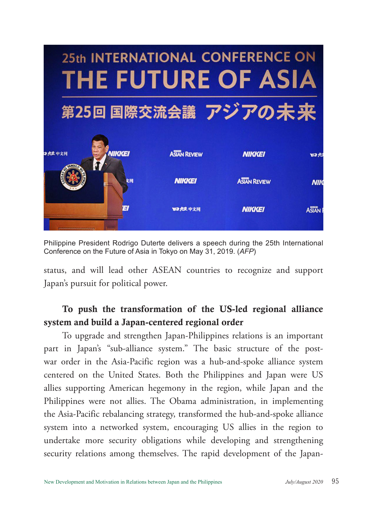

Philippine President Rodrigo Duterte delivers a speech during the 25th International Conference on the Future of Asia in Tokyo on May 31, 2019. (*AFP*)

status, and will lead other ASEAN countries to recognize and support Japan's pursuit for political power.

## To push the transformation of the US-led regional alliance system and build a Japan-centered regional order

To upgrade and strengthen Japan-Philippines relations is an important part in Japan's "sub-alliance system." The basic structure of the postwar order in the Asia-Pacific region was a hub-and-spoke alliance system centered on the United States. Both the Philippines and Japan were US allies supporting American hegemony in the region, while Japan and the Philippines were not allies. The Obama administration, in implementing the Asia-Pacific rebalancing strategy, transformed the hub-and-spoke alliance system into a networked system, encouraging US allies in the region to undertake more security obligations while developing and strengthening security relations among themselves. The rapid development of the Japan-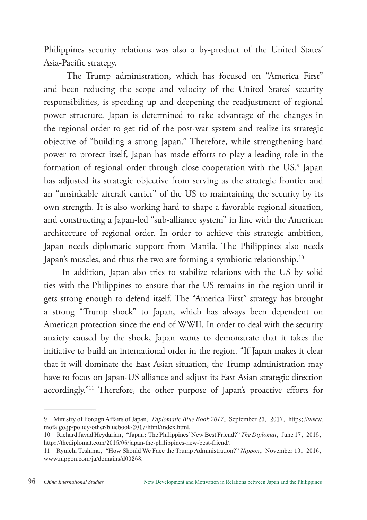Philippines security relations was also a by-product of the United States' Asia-Pacific strategy.

 The Trump administration, which has focused on "America First" and been reducing the scope and velocity of the United States' security responsibilities, is speeding up and deepening the readjustment of regional power structure. Japan is determined to take advantage of the changes in the regional order to get rid of the post-war system and realize its strategic objective of "building a strong Japan." Therefore, while strengthening hard power to protect itself, Japan has made efforts to play a leading role in the formation of regional order through close cooperation with the US.<sup>9</sup> Japan has adjusted its strategic objective from serving as the strategic frontier and an "unsinkable aircraft carrier" of the US to maintaining the security by its own strength. It is also working hard to shape a favorable regional situation, and constructing a Japan-led "sub-alliance system" in line with the American architecture of regional order. In order to achieve this strategic ambition, Japan needs diplomatic support from Manila. The Philippines also needs Japan's muscles, and thus the two are forming a symbiotic relationship.<sup>10</sup>

In addition, Japan also tries to stabilize relations with the US by solid ties with the Philippines to ensure that the US remains in the region until it gets strong enough to defend itself. The "America First" strategy has brought a strong "Trump shock" to Japan, which has always been dependent on American protection since the end of WWII. In order to deal with the security anxiety caused by the shock, Japan wants to demonstrate that it takes the initiative to build an international order in the region. "If Japan makes it clear that it will dominate the East Asian situation, the Trump administration may have to focus on Japan-US alliance and adjust its East Asian strategic direction accordingly."11 Therefore, the other purpose of Japan's proactive efforts for

<sup>9</sup> Ministry of Foreign Affairs of Japan, *Diplomatic Blue Book 2017*, September 26, 2017, https://www. mofa.go.jp/policy/other/bluebook/2017/html/index.html.

<sup>10</sup> Richard Javad Heydarian, "Japan: The Philippines' New Best Friend?" *The Diplomat*, June 17, 2015, http://thediplomat.com/2015/06/japan-the-philippines-new-best-friend/.

<sup>11</sup> Ryuichi Teshima, "How Should We Face the Trump Administration?" *Nippon*, November 10, 2016, www.nippon.com/ja/domains/d00268.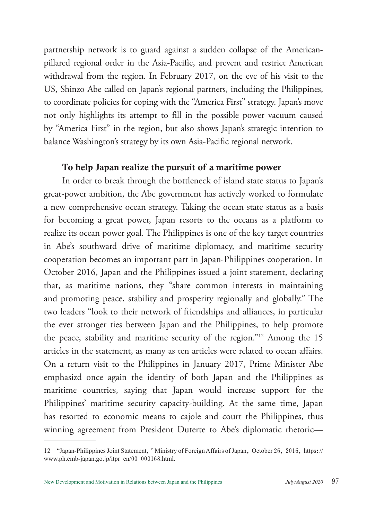partnership network is to guard against a sudden collapse of the Americanpillared regional order in the Asia-Pacific, and prevent and restrict American withdrawal from the region. In February 2017, on the eve of his visit to the US, Shinzo Abe called on Japan's regional partners, including the Philippines, to coordinate policies for coping with the "America First" strategy. Japan's move not only highlights its attempt to fill in the possible power vacuum caused by "America First" in the region, but also shows Japan's strategic intention to balance Washington's strategy by its own Asia-Pacific regional network.

#### To help Japan realize the pursuit of a maritime power

In order to break through the bottleneck of island state status to Japan's great-power ambition, the Abe government has actively worked to formulate a new comprehensive ocean strategy. Taking the ocean state status as a basis for becoming a great power, Japan resorts to the oceans as a platform to realize its ocean power goal. The Philippines is one of the key target countries in Abe's southward drive of maritime diplomacy, and maritime security cooperation becomes an important part in Japan-Philippines cooperation. In October 2016, Japan and the Philippines issued a joint statement, declaring that, as maritime nations, they "share common interests in maintaining and promoting peace, stability and prosperity regionally and globally." The two leaders "look to their network of friendships and alliances, in particular the ever stronger ties between Japan and the Philippines, to help promote the peace, stability and maritime security of the region."12 Among the 15 articles in the statement, as many as ten articles were related to ocean affairs. On a return visit to the Philippines in January 2017, Prime Minister Abe emphasizd once again the identity of both Japan and the Philippines as maritime countries, saying that Japan would increase support for the Philippines' maritime security capacity-building. At the same time, Japan has resorted to economic means to cajole and court the Philippines, thus winning agreement from President Duterte to Abe's diplomatic rhetoric—

<sup>12</sup> "Japan-Philippines Joint Statement," Ministry of Foreign Affairs of Japan, October 26, 2016, https:// www.ph.emb-japan.go.jp/itpr\_en/00\_000168.html.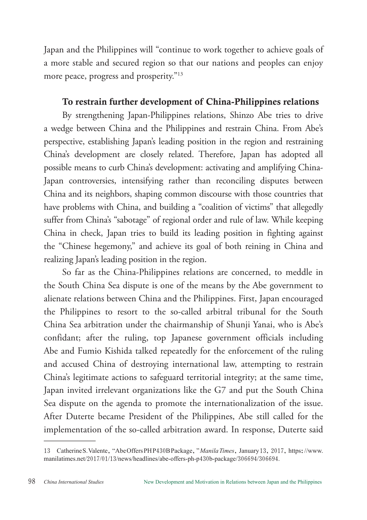Japan and the Philippines will "continue to work together to achieve goals of a more stable and secured region so that our nations and peoples can enjoy more peace, progress and prosperity."13

## To restrain further development of China-Philippines relations

By strengthening Japan-Philippines relations, Shinzo Abe tries to drive a wedge between China and the Philippines and restrain China. From Abe's perspective, establishing Japan's leading position in the region and restraining China's development are closely related. Therefore, Japan has adopted all possible means to curb China's development: activating and amplifying China-Japan controversies, intensifying rather than reconciling disputes between China and its neighbors, shaping common discourse with those countries that have problems with China, and building a "coalition of victims" that allegedly suffer from China's "sabotage" of regional order and rule of law. While keeping China in check, Japan tries to build its leading position in fighting against the "Chinese hegemony," and achieve its goal of both reining in China and realizing Japan's leading position in the region.

So far as the China-Philippines relations are concerned, to meddle in the South China Sea dispute is one of the means by the Abe government to alienate relations between China and the Philippines. First, Japan encouraged the Philippines to resort to the so-called arbitral tribunal for the South China Sea arbitration under the chairmanship of Shunji Yanai, who is Abe's confidant; after the ruling, top Japanese government officials including Abe and Fumio Kishida talked repeatedly for the enforcement of the ruling and accused China of destroying international law, attempting to restrain China's legitimate actions to safeguard territorial integrity; at the same time, Japan invited irrelevant organizations like the G7 and put the South China Sea dispute on the agenda to promote the internationalization of the issue. After Duterte became President of the Philippines, Abe still called for the implementation of the so-called arbitration award. In response, Duterte said

<sup>13</sup> Catherine S. Valente, "Abe Offers PH P430B Package," *Manila Times*, January 13, 2017, https://www. manilatimes.net/2017/01/13/news/headlines/abe-offers-ph-p430b-package/306694/306694.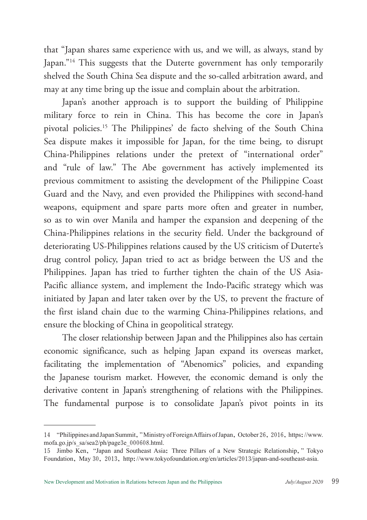that "Japan shares same experience with us, and we will, as always, stand by Japan."<sup>14</sup> This suggests that the Duterte government has only temporarily shelved the South China Sea dispute and the so-called arbitration award, and may at any time bring up the issue and complain about the arbitration.

Japan's another approach is to support the building of Philippine military force to rein in China. This has become the core in Japan's pivotal policies.15 The Philippines' de facto shelving of the South China Sea dispute makes it impossible for Japan, for the time being, to disrupt China-Philippines relations under the pretext of "international order" and "rule of law." The Abe government has actively implemented its previous commitment to assisting the development of the Philippine Coast Guard and the Navy, and even provided the Philippines with second-hand weapons, equipment and spare parts more often and greater in number, so as to win over Manila and hamper the expansion and deepening of the China-Philippines relations in the security field. Under the background of deteriorating US-Philippines relations caused by the US criticism of Duterte's drug control policy, Japan tried to act as bridge between the US and the Philippines. Japan has tried to further tighten the chain of the US Asia-Pacific alliance system, and implement the Indo-Pacific strategy which was initiated by Japan and later taken over by the US, to prevent the fracture of the first island chain due to the warming China-Philippines relations, and ensure the blocking of China in geopolitical strategy.

The closer relationship between Japan and the Philippines also has certain economic significance, such as helping Japan expand its overseas market, facilitating the implementation of "Abenomics" policies, and expanding the Japanese tourism market. However, the economic demand is only the derivative content in Japan's strengthening of relations with the Philippines. The fundamental purpose is to consolidate Japan's pivot points in its

<sup>14</sup> "Philippines and Japan Summit," Ministry of Foreign Affairs of Japan, October 26, 2016, https://www. mofa.go.jp/s\_sa/sea2/ph/page3e\_000608.html.

<sup>15</sup> Jimbo Ken, "Japan and Southeast Asia: Three Pillars of a New Strategic Relationship," Tokyo Foundation, May 30, 2013, http://www.tokyofoundation.org/en/articles/2013/japan-and-southeast-asia.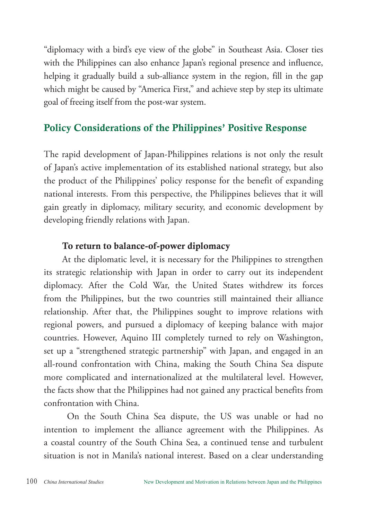"diplomacy with a bird's eye view of the globe" in Southeast Asia. Closer ties with the Philippines can also enhance Japan's regional presence and influence, helping it gradually build a sub-alliance system in the region, fill in the gap which might be caused by "America First," and achieve step by step its ultimate goal of freeing itself from the post-war system.

# Policy Considerations of the Philippines' Positive Response

The rapid development of Japan-Philippines relations is not only the result of Japan's active implementation of its established national strategy, but also the product of the Philippines' policy response for the benefit of expanding national interests. From this perspective, the Philippines believes that it will gain greatly in diplomacy, military security, and economic development by developing friendly relations with Japan.

## To return to balance-of-power diplomacy

At the diplomatic level, it is necessary for the Philippines to strengthen its strategic relationship with Japan in order to carry out its independent diplomacy. After the Cold War, the United States withdrew its forces from the Philippines, but the two countries still maintained their alliance relationship. After that, the Philippines sought to improve relations with regional powers, and pursued a diplomacy of keeping balance with major countries. However, Aquino III completely turned to rely on Washington, set up a "strengthened strategic partnership" with Japan, and engaged in an all-round confrontation with China, making the South China Sea dispute more complicated and internationalized at the multilateral level. However, the facts show that the Philippines had not gained any practical benefits from confrontation with China.

 On the South China Sea dispute, the US was unable or had no intention to implement the alliance agreement with the Philippines. As a coastal country of the South China Sea, a continued tense and turbulent situation is not in Manila's national interest. Based on a clear understanding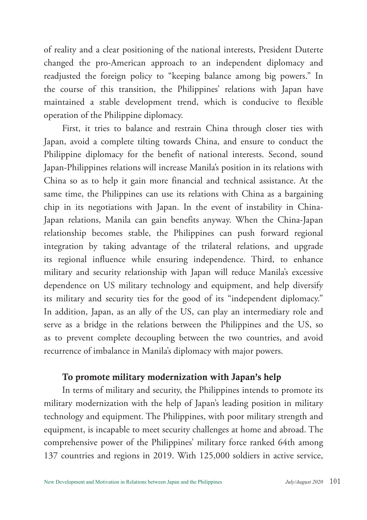of reality and a clear positioning of the national interests, President Duterte changed the pro-American approach to an independent diplomacy and readjusted the foreign policy to "keeping balance among big powers." In the course of this transition, the Philippines' relations with Japan have maintained a stable development trend, which is conducive to flexible operation of the Philippine diplomacy.

First, it tries to balance and restrain China through closer ties with Japan, avoid a complete tilting towards China, and ensure to conduct the Philippine diplomacy for the benefit of national interests. Second, sound Japan-Philippines relations will increase Manila's position in its relations with China so as to help it gain more financial and technical assistance. At the same time, the Philippines can use its relations with China as a bargaining chip in its negotiations with Japan. In the event of instability in China-Japan relations, Manila can gain benefits anyway. When the China-Japan relationship becomes stable, the Philippines can push forward regional integration by taking advantage of the trilateral relations, and upgrade its regional influence while ensuring independence. Third, to enhance military and security relationship with Japan will reduce Manila's excessive dependence on US military technology and equipment, and help diversify its military and security ties for the good of its "independent diplomacy." In addition, Japan, as an ally of the US, can play an intermediary role and serve as a bridge in the relations between the Philippines and the US, so as to prevent complete decoupling between the two countries, and avoid recurrence of imbalance in Manila's diplomacy with major powers.

#### To promote military modernization with Japan's help

In terms of military and security, the Philippines intends to promote its military modernization with the help of Japan's leading position in military technology and equipment. The Philippines, with poor military strength and equipment, is incapable to meet security challenges at home and abroad. The comprehensive power of the Philippines' military force ranked 64th among 137 countries and regions in 2019. With 125,000 soldiers in active service,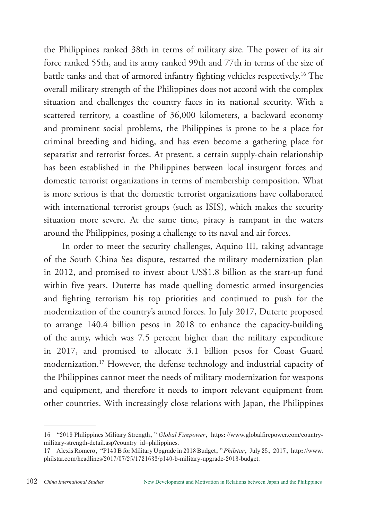the Philippines ranked 38th in terms of military size. The power of its air force ranked 55th, and its army ranked 99th and 77th in terms of the size of battle tanks and that of armored infantry fighting vehicles respectively.16 The overall military strength of the Philippines does not accord with the complex situation and challenges the country faces in its national security. With a scattered territory, a coastline of 36,000 kilometers, a backward economy and prominent social problems, the Philippines is prone to be a place for criminal breeding and hiding, and has even become a gathering place for separatist and terrorist forces. At present, a certain supply-chain relationship has been established in the Philippines between local insurgent forces and domestic terrorist organizations in terms of membership composition. What is more serious is that the domestic terrorist organizations have collaborated with international terrorist groups (such as ISIS), which makes the security situation more severe. At the same time, piracy is rampant in the waters around the Philippines, posing a challenge to its naval and air forces.

In order to meet the security challenges, Aquino III, taking advantage of the South China Sea dispute, restarted the military modernization plan in 2012, and promised to invest about US\$1.8 billion as the start-up fund within five years. Duterte has made quelling domestic armed insurgencies and fighting terrorism his top priorities and continued to push for the modernization of the country's armed forces. In July 2017, Duterte proposed to arrange 140.4 billion pesos in 2018 to enhance the capacity-building of the army, which was 7.5 percent higher than the military expenditure in 2017, and promised to allocate 3.1 billion pesos for Coast Guard modernization.17 However, the defense technology and industrial capacity of the Philippines cannot meet the needs of military modernization for weapons and equipment, and therefore it needs to import relevant equipment from other countries. With increasingly close relations with Japan, the Philippines

<sup>16</sup> "2019 Philippines Military Strength," *Global Firepower*, https://www.globalfirepower.com/countrymilitary-strength-detail.asp?country\_id=philippines.

<sup>17</sup> Alexis Romero, "P140 B for Military Upgrade in 2018 Budget," *Philstar*, July 25, 2017, http://www. philstar.com/headlines/2017/07/25/1721633/p140-b-military-upgrade-2018-budget.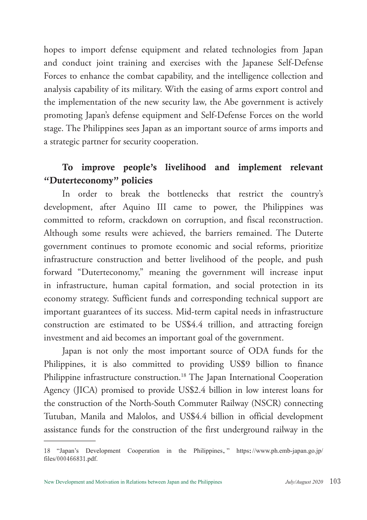hopes to import defense equipment and related technologies from Japan and conduct joint training and exercises with the Japanese Self-Defense Forces to enhance the combat capability, and the intelligence collection and analysis capability of its military. With the easing of arms export control and the implementation of the new security law, the Abe government is actively promoting Japan's defense equipment and Self-Defense Forces on the world stage. The Philippines sees Japan as an important source of arms imports and a strategic partner for security cooperation.

## To improve people's livelihood and implement relevant "Duterteconomy" policies

In order to break the bottlenecks that restrict the country's development, after Aquino III came to power, the Philippines was committed to reform, crackdown on corruption, and fiscal reconstruction. Although some results were achieved, the barriers remained. The Duterte government continues to promote economic and social reforms, prioritize infrastructure construction and better livelihood of the people, and push forward "Duterteconomy," meaning the government will increase input in infrastructure, human capital formation, and social protection in its economy strategy. Sufficient funds and corresponding technical support are important guarantees of its success. Mid-term capital needs in infrastructure construction are estimated to be US\$4.4 trillion, and attracting foreign investment and aid becomes an important goal of the government.

Japan is not only the most important source of ODA funds for the Philippines, it is also committed to providing US\$9 billion to finance Philippine infrastructure construction.<sup>18</sup> The Japan International Cooperation Agency (JICA) promised to provide US\$2.4 billion in low interest loans for the construction of the North-South Commuter Railway (NSCR) connecting Tutuban, Manila and Malolos, and US\$4.4 billion in official development assistance funds for the construction of the first underground railway in the

<sup>18</sup> "Japan's Development Cooperation in the Philippines," https://www.ph.emb-japan.go.jp/ files/000466831.pdf.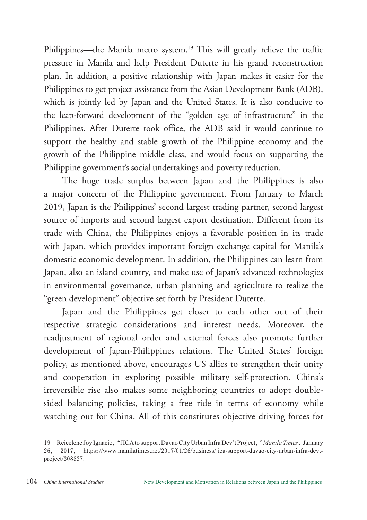Philippines—the Manila metro system.<sup>19</sup> This will greatly relieve the traffic pressure in Manila and help President Duterte in his grand reconstruction plan. In addition, a positive relationship with Japan makes it easier for the Philippines to get project assistance from the Asian Development Bank (ADB), which is jointly led by Japan and the United States. It is also conducive to the leap-forward development of the "golden age of infrastructure" in the Philippines. After Duterte took office, the ADB said it would continue to support the healthy and stable growth of the Philippine economy and the growth of the Philippine middle class, and would focus on supporting the Philippine government's social undertakings and poverty reduction.

The huge trade surplus between Japan and the Philippines is also a major concern of the Philippine government. From January to March 2019, Japan is the Philippines' second largest trading partner, second largest source of imports and second largest export destination. Different from its trade with China, the Philippines enjoys a favorable position in its trade with Japan, which provides important foreign exchange capital for Manila's domestic economic development. In addition, the Philippines can learn from Japan, also an island country, and make use of Japan's advanced technologies in environmental governance, urban planning and agriculture to realize the "green development" objective set forth by President Duterte.

Japan and the Philippines get closer to each other out of their respective strategic considerations and interest needs. Moreover, the readjustment of regional order and external forces also promote further development of Japan-Philippines relations. The United States' foreign policy, as mentioned above, encourages US allies to strengthen their unity and cooperation in exploring possible military self-protection. China's irreversible rise also makes some neighboring countries to adopt doublesided balancing policies, taking a free ride in terms of economy while watching out for China. All of this constitutes objective driving forces for

<sup>19</sup> Reicelene Joy Ignacio, "JICA to support Davao City Urban Infra Dev't Project," *Manila Times*, January 26, 2017, https://www.manilatimes.net/2017/01/26/business/jica-support-davao-city-urban-infra-devtproject/308837.